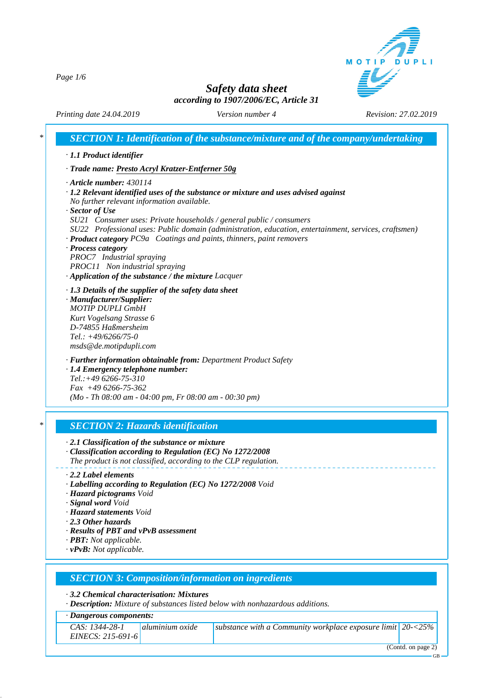MOTIP DUPLI

*Page 1/6*

# *Safety data sheet according to 1907/2006/EC, Article 31*

*Printing date 24.04.2019 Version number 4 Revision: 27.02.2019*

|                           | $\cdot$ 1.1 Product identifier                                                                                                                                               |
|---------------------------|------------------------------------------------------------------------------------------------------------------------------------------------------------------------------|
|                           | · Trade name: Presto Acryl Kratzer-Entferner 50g                                                                                                                             |
|                           | $\cdot$ Article number: 430114                                                                                                                                               |
|                           | · 1.2 Relevant identified uses of the substance or mixture and uses advised against                                                                                          |
|                           | No further relevant information available.                                                                                                                                   |
| $\cdot$ Sector of Use     |                                                                                                                                                                              |
|                           | SU21 Consumer uses: Private households / general public / consumers<br>SU22 Professional uses: Public domain (administration, education, entertainment, services, craftsmen) |
|                           | · Product category PC9a Coatings and paints, thinners, paint removers                                                                                                        |
| · Process category        |                                                                                                                                                                              |
|                           | PROC7 Industrial spraying                                                                                                                                                    |
|                           | PROC11 Non industrial spraying                                                                                                                                               |
|                           | $\cdot$ Application of the substance / the mixture Lacquer                                                                                                                   |
|                           | $\cdot$ 1.3 Details of the supplier of the safety data sheet                                                                                                                 |
|                           | · Manufacturer/Supplier:                                                                                                                                                     |
|                           | <b>MOTIP DUPLI GmbH</b><br>Kurt Vogelsang Strasse 6                                                                                                                          |
|                           | D-74855 Haßmersheim                                                                                                                                                          |
|                           | Tel.: $+49/6266/75-0$                                                                                                                                                        |
|                           | msds@de.motipdupli.com                                                                                                                                                       |
|                           | · Further information obtainable from: Department Product Safety                                                                                                             |
|                           | · 1.4 Emergency telephone number:                                                                                                                                            |
|                           | $Tel.:+496266-75-310$                                                                                                                                                        |
|                           | $Fax +496266-75-362$                                                                                                                                                         |
|                           | (Mo - Th 08:00 am - 04:00 pm, Fr 08:00 am - 00:30 pm)                                                                                                                        |
|                           |                                                                                                                                                                              |
|                           | <b>SECTION 2: Hazards identification</b>                                                                                                                                     |
|                           | $\cdot$ 2.1 Classification of the substance or mixture                                                                                                                       |
|                           | Classification according to Regulation (EC) No 1272/2008                                                                                                                     |
|                           | The product is not classified, according to the CLP regulation.                                                                                                              |
|                           | $\cdot$ 2.2 Label elements                                                                                                                                                   |
|                           | · Labelling according to Regulation (EC) No 1272/2008 Void                                                                                                                   |
| · Signal word Void        | · Hazard pictograms Void                                                                                                                                                     |
|                           | · Hazard statements Void                                                                                                                                                     |
| $\cdot$ 2.3 Other hazards |                                                                                                                                                                              |
|                           | · Results of PBT and vPvB assessment                                                                                                                                         |
|                           | · <b>PBT</b> : Not applicable.                                                                                                                                               |
|                           | $\cdot$ vPvB: Not applicable.                                                                                                                                                |

*· 3.2 Chemical characterisation: Mixtures*

*· Description: Mixture of substances listed below with nonhazardous additions.*

*· Dangerous components:*

| $CAS: 1344-28-1$    | aluminium oxide | substance with a Community workplace exposure limit $\vert$ 20- $\langle$ 25% $\vert$ |                    |
|---------------------|-----------------|---------------------------------------------------------------------------------------|--------------------|
| $EINECS: 215-691-6$ |                 |                                                                                       |                    |
|                     |                 |                                                                                       | (Contd. on page 2) |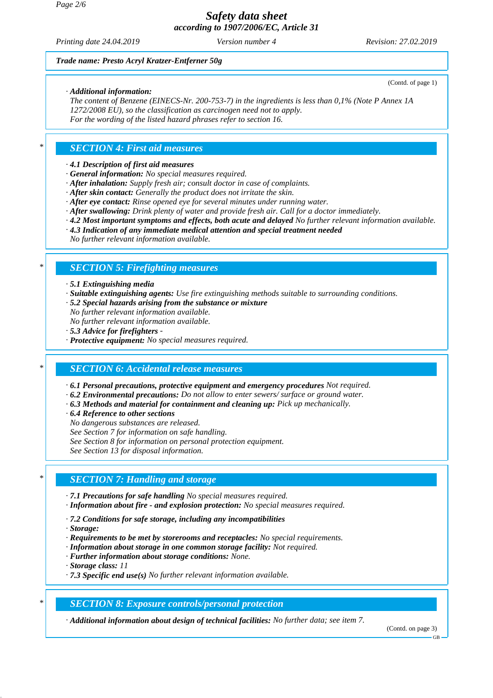*Printing date 24.04.2019 Version number 4 Revision: 27.02.2019*

(Contd. of page 1)

### *Trade name: Presto Acryl Kratzer-Entferner 50g*

### *· Additional information:*

*The content of Benzene (EINECS-Nr. 200-753-7) in the ingredients is less than 0,1% (Note P Annex 1A 1272/2008 EU), so the classification as carcinogen need not to apply. For the wording of the listed hazard phrases refer to section 16.*

### *\* SECTION 4: First aid measures*

### *· 4.1 Description of first aid measures*

*· General information: No special measures required.*

- *· After inhalation: Supply fresh air; consult doctor in case of complaints.*
- *· After skin contact: Generally the product does not irritate the skin.*
- *· After eye contact: Rinse opened eye for several minutes under running water.*
- *· After swallowing: Drink plenty of water and provide fresh air. Call for a doctor immediately.*
- *· 4.2 Most important symptoms and effects, both acute and delayed No further relevant information available.*
- *· 4.3 Indication of any immediate medical attention and special treatment needed*
- *No further relevant information available.*

### *\* SECTION 5: Firefighting measures*

#### *· 5.1 Extinguishing media*

- *· Suitable extinguishing agents: Use fire extinguishing methods suitable to surrounding conditions.*
- *· 5.2 Special hazards arising from the substance or mixture*
- *No further relevant information available.*
- *No further relevant information available.*
- *· 5.3 Advice for firefighters*
- *· Protective equipment: No special measures required.*

### *\* SECTION 6: Accidental release measures*

*· 6.1 Personal precautions, protective equipment and emergency procedures Not required.*

- *· 6.2 Environmental precautions: Do not allow to enter sewers/ surface or ground water.*
- *· 6.3 Methods and material for containment and cleaning up: Pick up mechanically.*
- *· 6.4 Reference to other sections*
- *No dangerous substances are released.*
- *See Section 7 for information on safe handling.*
- *See Section 8 for information on personal protection equipment.*

*See Section 13 for disposal information.*

### *\* SECTION 7: Handling and storage*

- *· 7.1 Precautions for safe handling No special measures required.*
- *· Information about fire and explosion protection: No special measures required.*
- *· 7.2 Conditions for safe storage, including any incompatibilities*
- *· Storage:*
- *· Requirements to be met by storerooms and receptacles: No special requirements.*
- *· Information about storage in one common storage facility: Not required.*
- *· Further information about storage conditions: None.*
- *· Storage class: 11*
- *· 7.3 Specific end use(s) No further relevant information available.*

### *\* SECTION 8: Exposure controls/personal protection*

*· Additional information about design of technical facilities: No further data; see item 7.*

(Contd. on page 3)

#### GB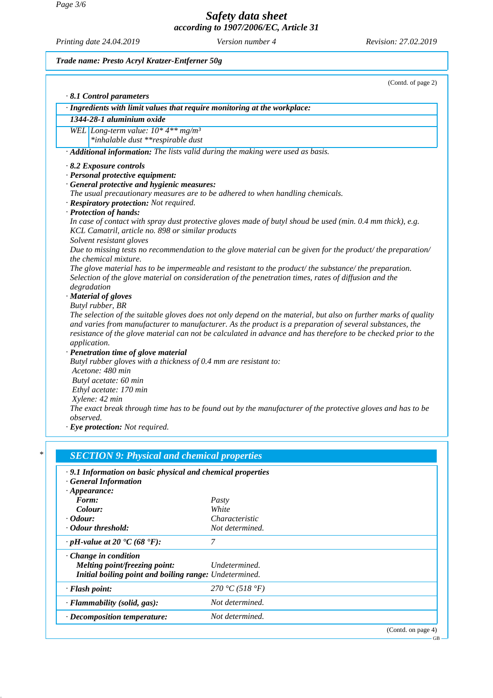*Page 3/6*

*Safety data sheet according to 1907/2006/EC, Article 31*

*Printing date 24.04.2019 Version number 4 Revision: 27.02.2019*

GB

*Trade name: Presto Acryl Kratzer-Entferner 50g*

|           | · Ingredients with limit values that require monitoring at the workplace:                                       |
|-----------|-----------------------------------------------------------------------------------------------------------------|
|           | 1344-28-1 aluminium oxide                                                                                       |
|           | WEL Long-term value: $10*4**mg/m^3$                                                                             |
|           | *inhalable dust **respirable dust                                                                               |
|           | · Additional information: The lists valid during the making were used as basis.                                 |
|           | $\cdot$ 8.2 Exposure controls                                                                                   |
|           | · Personal protective equipment:                                                                                |
|           | · General protective and hygienic measures:                                                                     |
|           | The usual precautionary measures are to be adhered to when handling chemicals.                                  |
|           | · Respiratory protection: Not required.                                                                         |
|           | · Protection of hands:                                                                                          |
|           | In case of contact with spray dust protective gloves made of butyl shoud be used (min. 0.4 mm thick), e.g.      |
|           | KCL Camatril, article no. 898 or similar products<br>Solvent resistant gloves                                   |
|           | Due to missing tests no recommendation to the glove material can be given for the product/ the preparation/     |
|           | the chemical mixture.                                                                                           |
|           | The glove material has to be impermeable and resistant to the product/the substance/the preparation.            |
|           | Selection of the glove material on consideration of the penetration times, rates of diffusion and the           |
|           | degradation                                                                                                     |
|           | · Material of gloves                                                                                            |
|           | Butyl rubber, BR                                                                                                |
|           | The selection of the suitable gloves does not only depend on the material, but also on further marks of quality |
|           | and varies from manufacturer to manufacturer. As the product is a preparation of several substances, the        |
|           | resistance of the glove material can not be calculated in advance and has therefore to be checked prior to the  |
|           | application.                                                                                                    |
|           | · Penetration time of glove material                                                                            |
|           | Butyl rubber gloves with a thickness of 0.4 mm are resistant to:<br>Acetone: 480 min                            |
|           | Butyl acetate: 60 min                                                                                           |
|           | Ethyl acetate: 170 min                                                                                          |
|           | Xylene: 42 min                                                                                                  |
|           | The exact break through time has to be found out by the manufacturer of the protective gloves and has to be     |
| observed. |                                                                                                                 |
|           | · Eye protection: Not required.                                                                                 |

| .9.1 Information on basic physical and chemical properties<br><b>General Information</b> |                 |                    |
|------------------------------------------------------------------------------------------|-----------------|--------------------|
| $\cdot$ Appearance:                                                                      |                 |                    |
| Form:                                                                                    | Pasty           |                    |
| Colour:                                                                                  | White           |                    |
| <i>Colour:</i>                                                                           | Characteristic  |                    |
| • Odour threshold:                                                                       | Not determined. |                    |
| $\cdot$ pH-value at 20 $\textdegree$ C (68 $\textdegree$ F):                             | 7               |                    |
| $\cdot$ Change in condition                                                              |                 |                    |
| Melting point/freezing point:                                                            | Undetermined.   |                    |
| Initial boiling point and boiling range: Undetermined.                                   |                 |                    |
| · Flash point:                                                                           | 270 °C (518 °F) |                    |
| $\cdot$ Flammability (solid, gas):                                                       | Not determined. |                    |
| $\cdot$ Decomposition temperature:                                                       | Not determined. |                    |
|                                                                                          |                 | (Contd. on page 4) |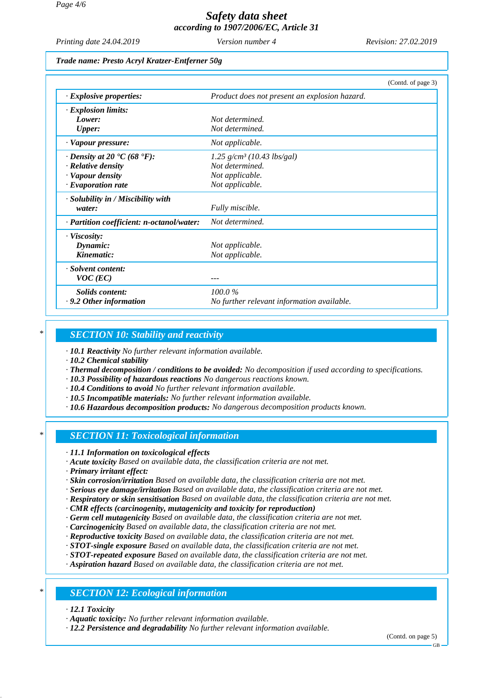*Printing date 24.04.2019 Version number 4 Revision: 27.02.2019*

### *Trade name: Presto Acryl Kratzer-Entferner 50g*

|                                                 | (Contd. of page 3)                            |  |
|-------------------------------------------------|-----------------------------------------------|--|
| $\cdot$ Explosive properties:                   | Product does not present an explosion hazard. |  |
| $\cdot$ Explosion limits:                       |                                               |  |
| Lower:                                          | Not determined.                               |  |
| <b>Upper:</b>                                   | Not determined.                               |  |
| · Vapour pressure:                              | Not applicable.                               |  |
| $\cdot$ Density at 20 $\cdot$ C (68 $\cdot$ F): | $1.25$ g/cm <sup>3</sup> (10.43 lbs/gal)      |  |
| $\cdot$ Relative density                        | Not determined.                               |  |
| · Vapour density                                | Not applicable.                               |  |
| $\cdot$ Evaporation rate                        | Not applicable.                               |  |
| · Solubility in / Miscibility with              |                                               |  |
| water:                                          | Fully miscible.                               |  |
| · Partition coefficient: n-octanol/water:       | Not determined.                               |  |
| $\cdot$ Viscosity:                              |                                               |  |
| Dynamic:                                        | Not applicable.                               |  |
| Kinematic:                                      | Not applicable.                               |  |
| · Solvent content:                              |                                               |  |
| $VOC$ (EC)                                      |                                               |  |
| Solids content:                                 | 100.0%                                        |  |
| $\cdot$ 9.2 Other information                   | No further relevant information available.    |  |

### *\* SECTION 10: Stability and reactivity*

*· 10.1 Reactivity No further relevant information available.*

*· 10.2 Chemical stability*

- *· Thermal decomposition / conditions to be avoided: No decomposition if used according to specifications.*
- *· 10.3 Possibility of hazardous reactions No dangerous reactions known.*
- *· 10.4 Conditions to avoid No further relevant information available.*
- *· 10.5 Incompatible materials: No further relevant information available.*
- *· 10.6 Hazardous decomposition products: No dangerous decomposition products known.*

### *\* SECTION 11: Toxicological information*

*· 11.1 Information on toxicological effects*

*· Acute toxicity Based on available data, the classification criteria are not met.*

*· Primary irritant effect:*

- *· Skin corrosion/irritation Based on available data, the classification criteria are not met.*
- *· Serious eye damage/irritation Based on available data, the classification criteria are not met.*
- *· Respiratory or skin sensitisation Based on available data, the classification criteria are not met.*

*· CMR effects (carcinogenity, mutagenicity and toxicity for reproduction)*

- *· Germ cell mutagenicity Based on available data, the classification criteria are not met.*
- *· Carcinogenicity Based on available data, the classification criteria are not met.*
- *· Reproductive toxicity Based on available data, the classification criteria are not met.*

*· STOT-single exposure Based on available data, the classification criteria are not met.*

*· STOT-repeated exposure Based on available data, the classification criteria are not met.*

*· Aspiration hazard Based on available data, the classification criteria are not met.*

### *\* SECTION 12: Ecological information*

*· 12.1 Toxicity*

*· Aquatic toxicity: No further relevant information available.*

*· 12.2 Persistence and degradability No further relevant information available.*

(Contd. on page 5)

GB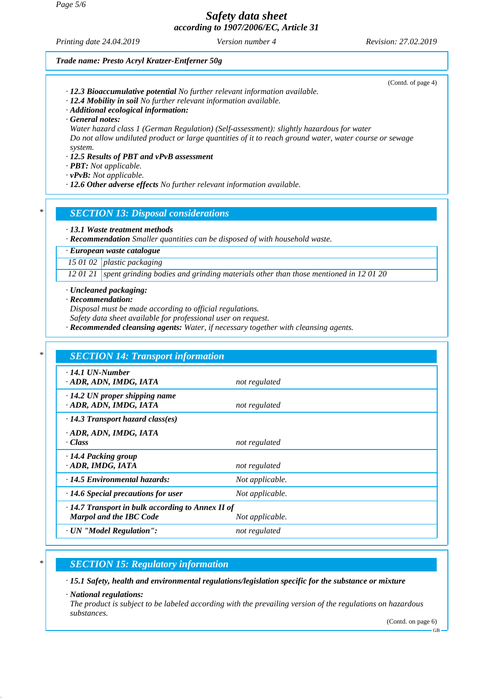*Printing date 24.04.2019 Version number 4 Revision: 27.02.2019*

(Contd. of page 4)

#### *Trade name: Presto Acryl Kratzer-Entferner 50g*

- *· 12.3 Bioaccumulative potential No further relevant information available.*
- *· 12.4 Mobility in soil No further relevant information available.*
- *· Additional ecological information:*
- *· General notes:*

*Water hazard class 1 (German Regulation) (Self-assessment): slightly hazardous for water Do not allow undiluted product or large quantities of it to reach ground water, water course or sewage system.*

#### *· 12.5 Results of PBT and vPvB assessment*

- *· PBT: Not applicable.*
- *· vPvB: Not applicable.*
- *· 12.6 Other adverse effects No further relevant information available.*

### *\* SECTION 13: Disposal considerations*

#### *· 13.1 Waste treatment methods*

*· Recommendation Smaller quantities can be disposed of with household waste.*

### *· European waste catalogue*

*15 01 02 plastic packaging*

*12 01 21 spent grinding bodies and grinding materials other than those mentioned in 12 01 20*

*· Uncleaned packaging:*

*· Recommendation:*

*Disposal must be made according to official regulations.*

*Safety data sheet available for professional user on request.*

*· Recommended cleansing agents: Water, if necessary together with cleansing agents.*

| $\cdot$ 14.1 UN-Number                                         |                 |  |
|----------------------------------------------------------------|-----------------|--|
| · ADR, ADN, IMDG, IATA                                         | not regulated   |  |
|                                                                |                 |  |
| $\cdot$ 14.2 UN proper shipping name<br>· ADR, ADN, IMDG, IATA | not regulated   |  |
| $\cdot$ 14.3 Transport hazard class(es)                        |                 |  |
| · ADR, ADN, IMDG, IATA                                         |                 |  |
| · Class                                                        | not regulated   |  |
| 14.4 Packing group                                             |                 |  |
| · ADR, IMDG, IATA                                              | not regulated   |  |
| $\cdot$ 14.5 Environmental hazards:                            | Not applicable. |  |
| $\cdot$ 14.6 Special precautions for user                      | Not applicable. |  |
| $\cdot$ 14.7 Transport in bulk according to Annex II of        |                 |  |
| <b>Marpol and the IBC Code</b>                                 | Not applicable. |  |

## *\* SECTION 15: Regulatory information*

*· 15.1 Safety, health and environmental regulations/legislation specific for the substance or mixture*

#### *· National regulations:*

*The product is subject to be labeled according with the prevailing version of the regulations on hazardous substances.*

(Contd. on page 6)